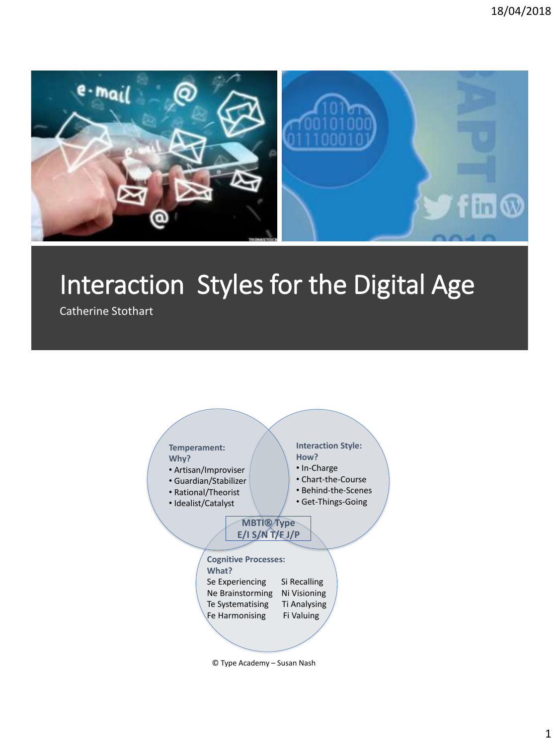

# Interaction Styles for the Digital Age

Catherine Stothart

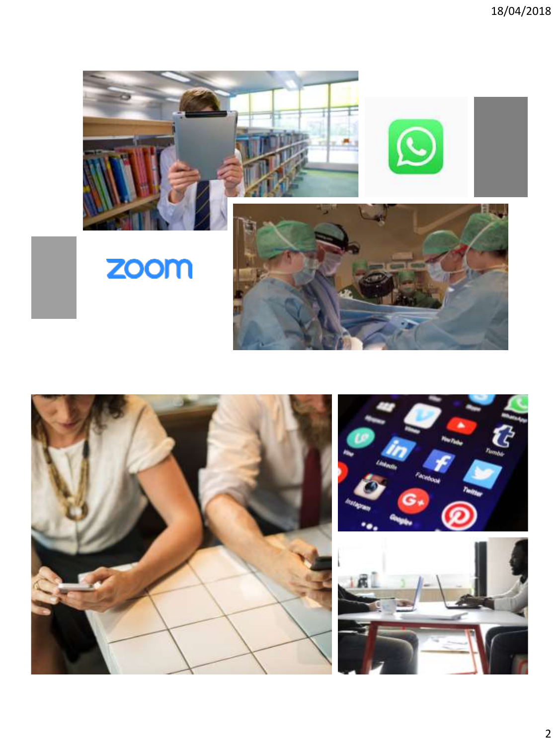





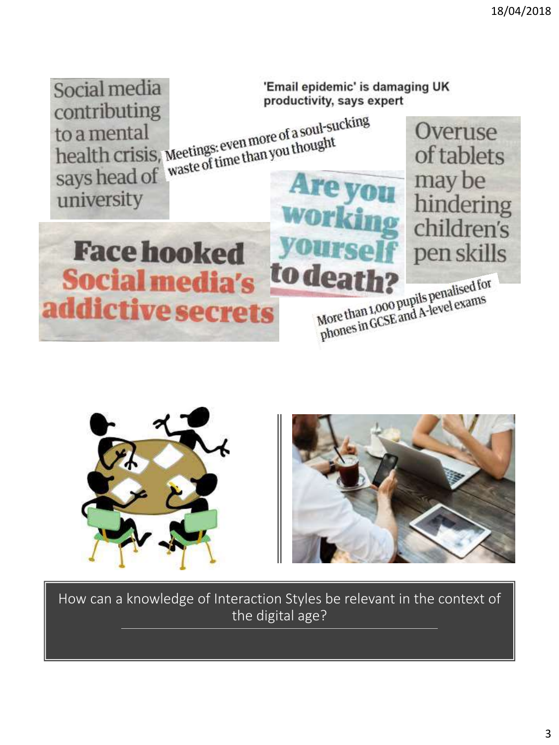





How can a knowledge of Interaction Styles be relevant in the context of the digital age?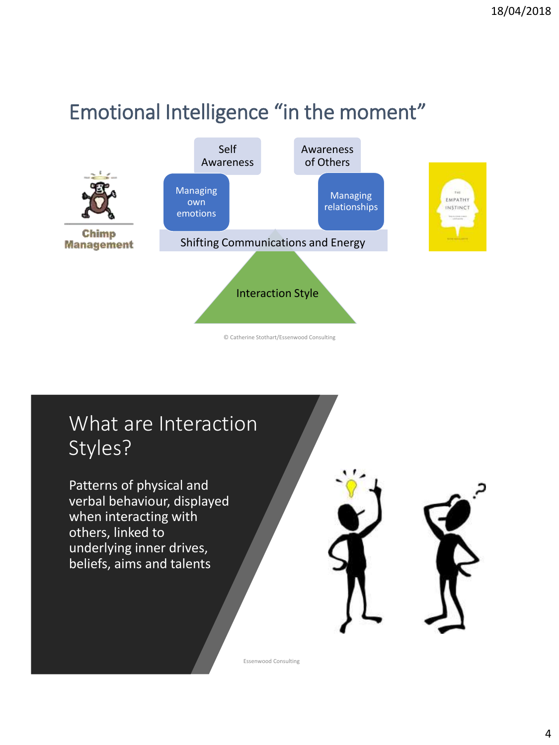## Emotional Intelligence "in the moment"



© Catherine Stothart/Essenwood Consulting

## What are Interaction Styles?

Patterns of physical and verbal behaviour, displayed when interacting with others, linked to underlying inner drives, beliefs, aims and talents



Essenwood Consulting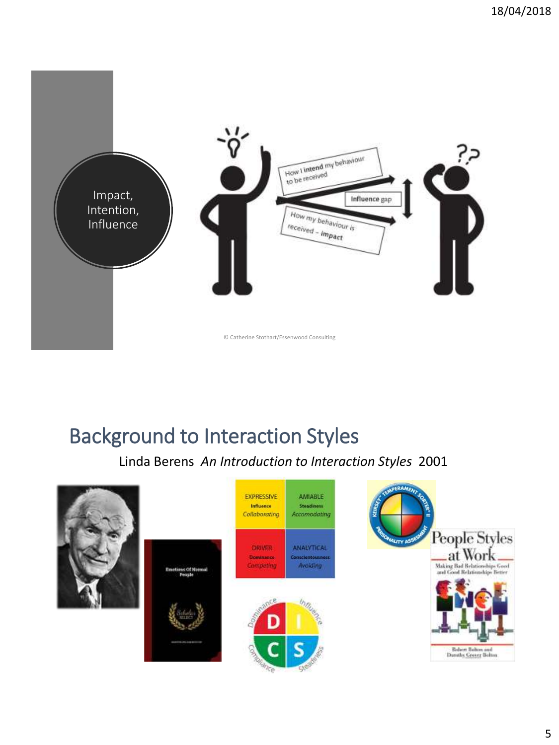

### Background to Interaction Styles

#### Linda Berens *An Introduction to Interaction Styles* 2001

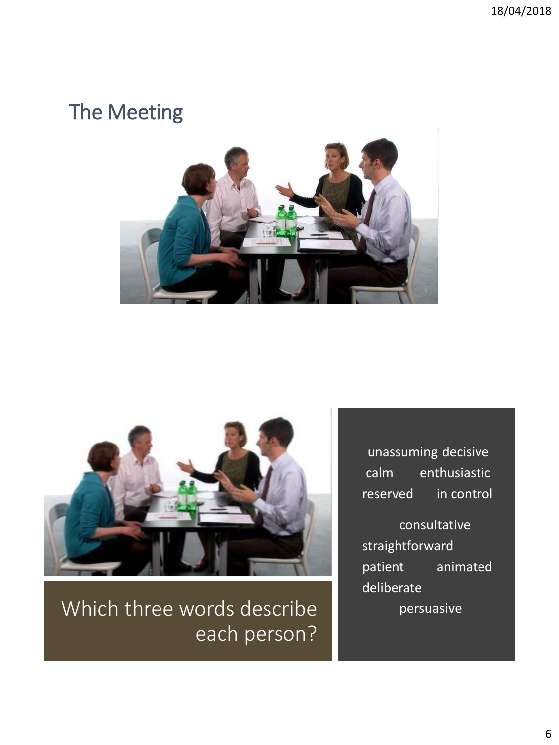### The Meeting





Which three words describe each person?

unassuming decisive calm enthusiastic reserved in control

consultative straightforward patient animated deliberate persuasive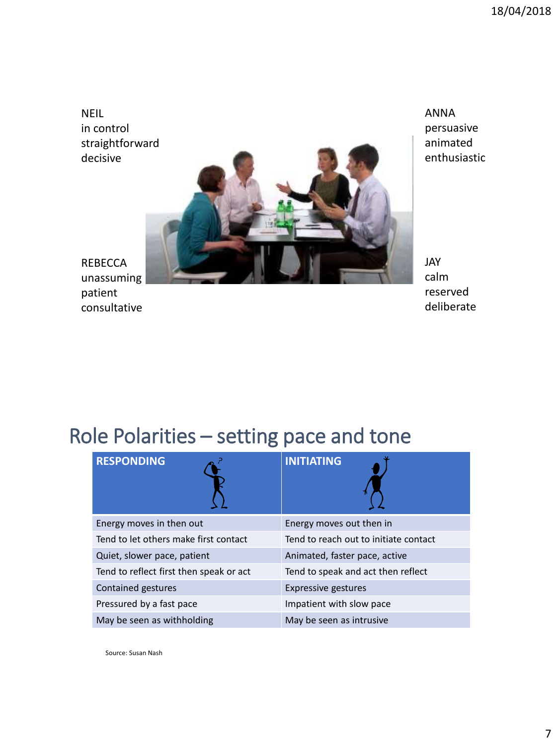NEIL in control straightforward decisive



ANNA persuasive animated enthusiastic

JAY calm reserved deliberate

REBECCA unassuming patient

consultative

## Role Polarities – setting pace and tone

| <b>RESPONDING</b>                       | <b>INITIATING</b>                     |
|-----------------------------------------|---------------------------------------|
| Energy moves in then out                | Energy moves out then in              |
| Tend to let others make first contact   | Tend to reach out to initiate contact |
| Quiet, slower pace, patient             | Animated, faster pace, active         |
| Tend to reflect first then speak or act | Tend to speak and act then reflect    |
| Contained gestures                      | Expressive gestures                   |
| Pressured by a fast pace                | Impatient with slow pace              |
| May be seen as withholding              | May be seen as intrusive              |

Source: Susan Nash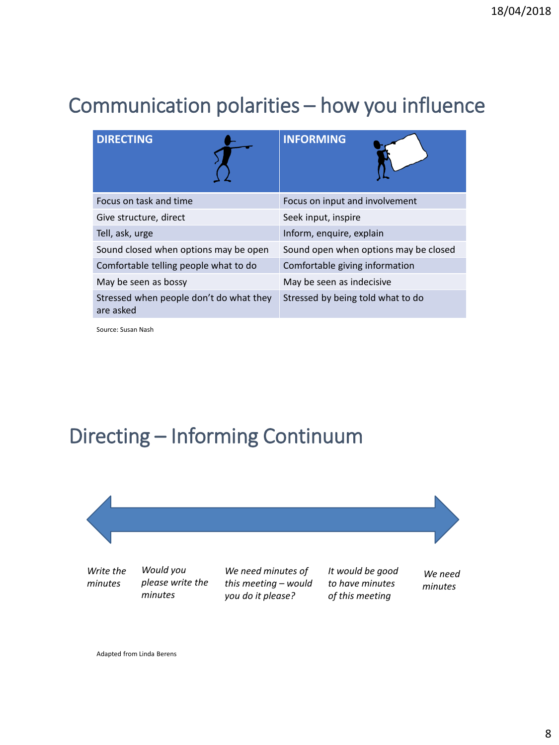## Communication polarities – how you influence

| <b>DIRECTING</b>                                     | <b>INFORMING</b>                      |  |
|------------------------------------------------------|---------------------------------------|--|
| Focus on task and time                               | Focus on input and involvement        |  |
| Give structure, direct                               | Seek input, inspire                   |  |
| Tell, ask, urge                                      | Inform, enquire, explain              |  |
| Sound closed when options may be open                | Sound open when options may be closed |  |
| Comfortable telling people what to do                | Comfortable giving information        |  |
| May be seen as bossy                                 | May be seen as indecisive             |  |
| Stressed when people don't do what they<br>are asked | Stressed by being told what to do     |  |

Source: Susan Nash

## Directing – Informing Continuum



Adapted from Linda Berens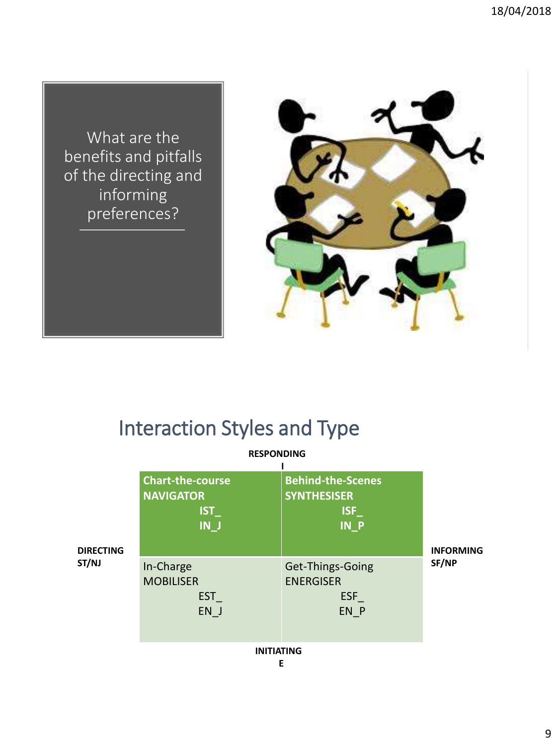What are the benefits and pitfalls of the directing and informing preferences?



### Interaction Styles and Type

| <b>DIRECTING</b><br>ST/NJ | <b>Chart-the-course</b><br><b>NAVIGATOR</b><br>$IST_$<br>$IN_J$ | <b>Behind-the-Scenes</b><br><b>SYNTHESISER</b><br>$ISF_$<br>$IN_P$ | <b>INFORMING</b><br>SF/NP |  |  |
|---------------------------|-----------------------------------------------------------------|--------------------------------------------------------------------|---------------------------|--|--|
|                           | In-Charge<br><b>MOBILISER</b><br><b>EST</b><br>EN J             | Get-Things-Going<br><b>ENERGISER</b><br><b>ESF</b><br>EN P         |                           |  |  |
| <b>INITIATING</b>         |                                                                 |                                                                    |                           |  |  |

**RESPONDING**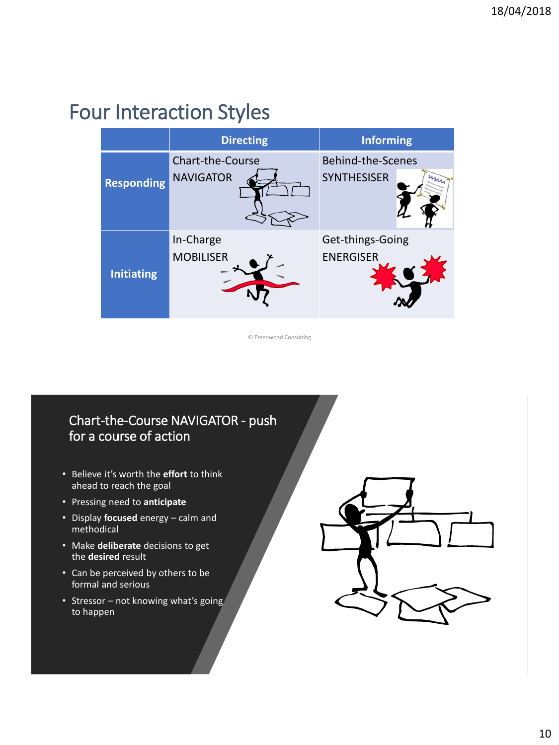### Four Interaction Styles



© Essenwood Consulting

#### Chart-the-Course NAVIGATOR - push for a course of action

- Believe it's worth the **effort** to think ahead to reach the goal
- Pressing need to **anticipate**
- Display **focused** energy calm and methodical
- Make **deliberate** decisions to get the **desired** result
- Can be perceived by others to be formal and serious
- Stressor not knowing what's going to happen

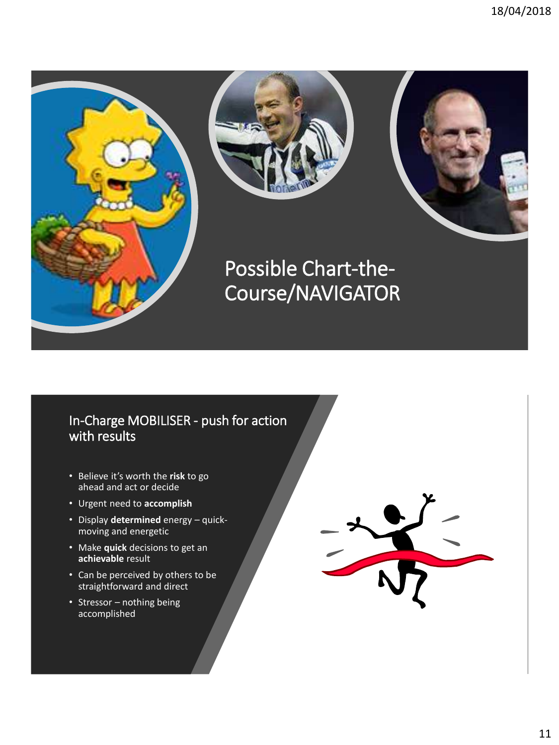





Possible Chart-the-Course/NAVIGATOR

#### In-Charge MOBILISER - push for action with results

- Believe it's worth the **risk** to go ahead and act or decide
- Urgent need to **accomplish**
- Display **determined** energy quickmoving and energetic
- Make **quick** decisions to get an **achievable** result
- Can be perceived by others to be straightforward and direct
- Stressor nothing being accomplished

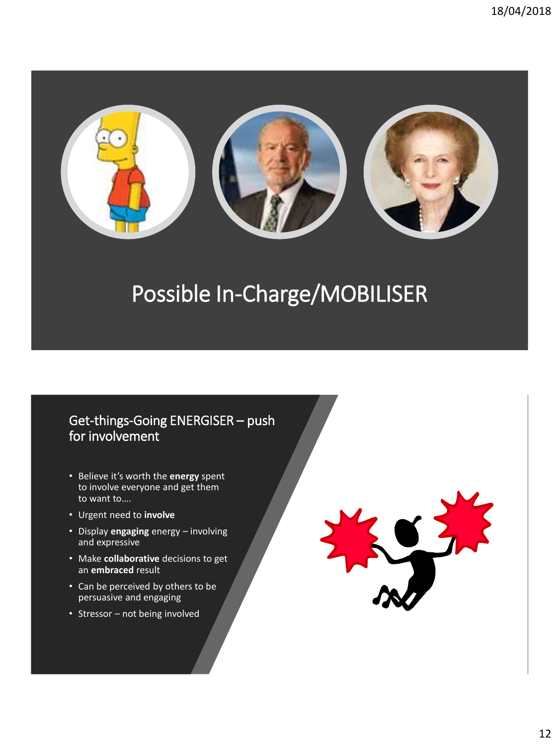

## Possible In-Charge/MOBILISER

#### Get-things-Going ENERGISER – push for involvement

- Believe it's worth the **energy** spent to involve everyone and get them to want to….
- Urgent need to **involve**
- Display **engaging** energy involving and expressive
- Make **collaborative** decisions to get an **embraced** result
- Can be perceived by others to be persuasive and engaging
- Stressor not being involved

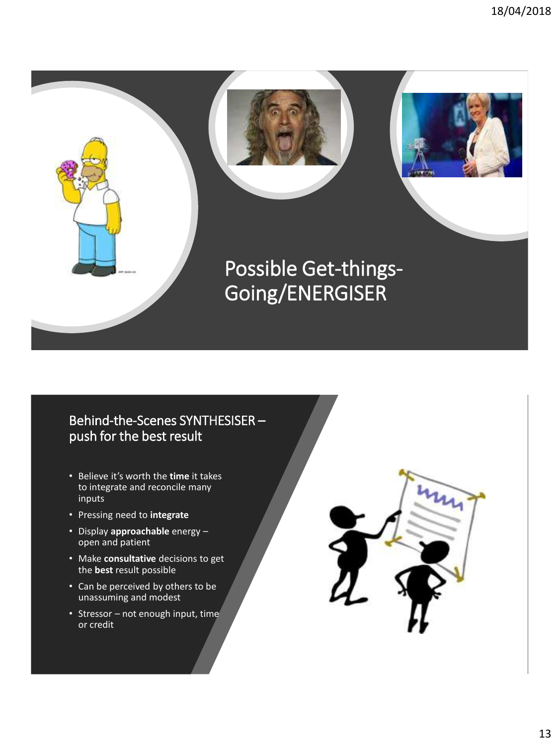

#### Behind-the-Scenes SYNTHESISER – push for the best result

- Believe it's worth the **time** it takes to integrate and reconcile many inputs
- Pressing need to **integrate**
- Display **approachable** energy open and patient
- Make **consultative** decisions to get the **best** result possible
- Can be perceived by others to be unassuming and modest
- Stressor not enough input, time or credit

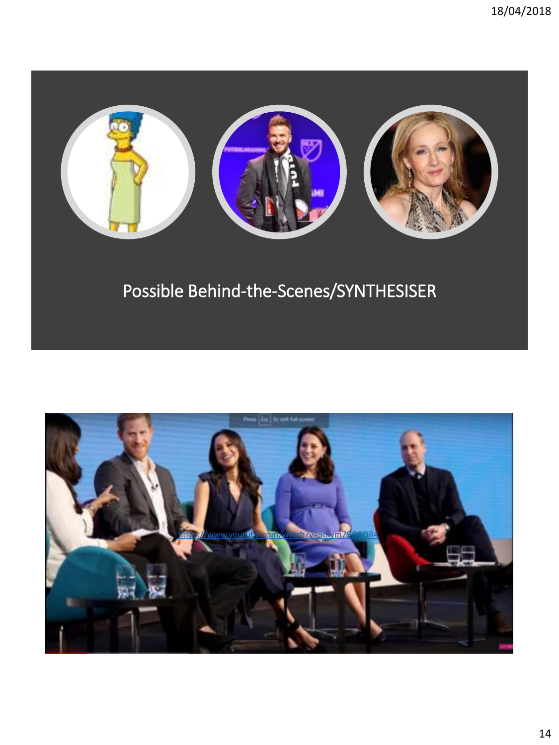

### Possible Behind-the-Scenes/SYNTHESISER

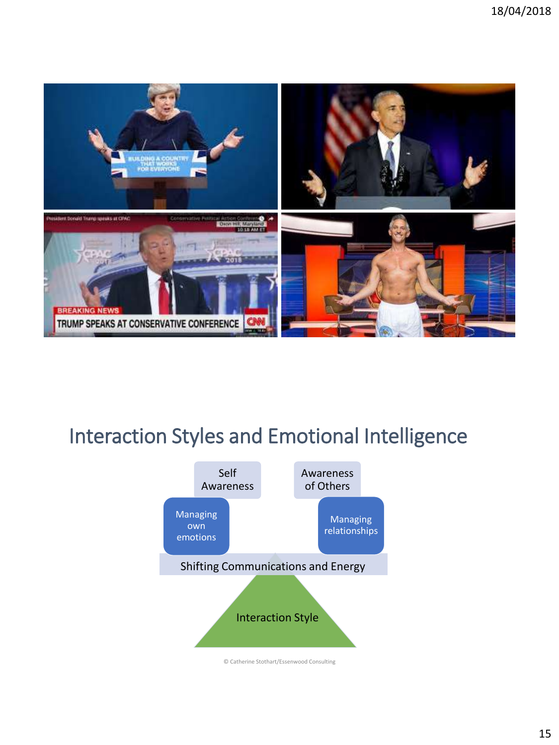

### Interaction Styles and Emotional Intelligence



© Catherine Stothart/Essenwood Consulting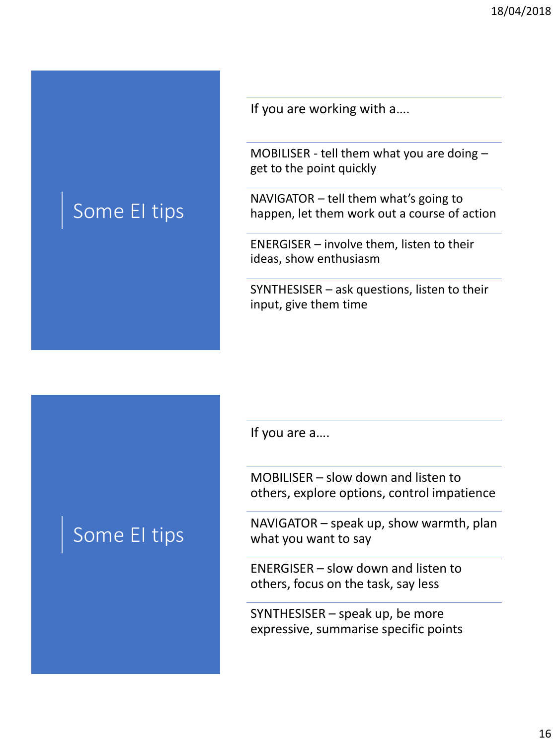## Some EI tips

If you are working with a….

MOBILISER - tell them what you are doing – get to the point quickly

NAVIGATOR – tell them what's going to happen, let them work out a course of action

ENERGISER – involve them, listen to their ideas, show enthusiasm

SYNTHESISER – ask questions, listen to their input, give them time

If you are a….

MOBILISER – slow down and listen to others, explore options, control impatience

NAVIGATOR – speak up, show warmth, plan what you want to say

ENERGISER – slow down and listen to others, focus on the task, say less

SYNTHESISER – speak up, be more expressive, summarise specific points

## Some EI tips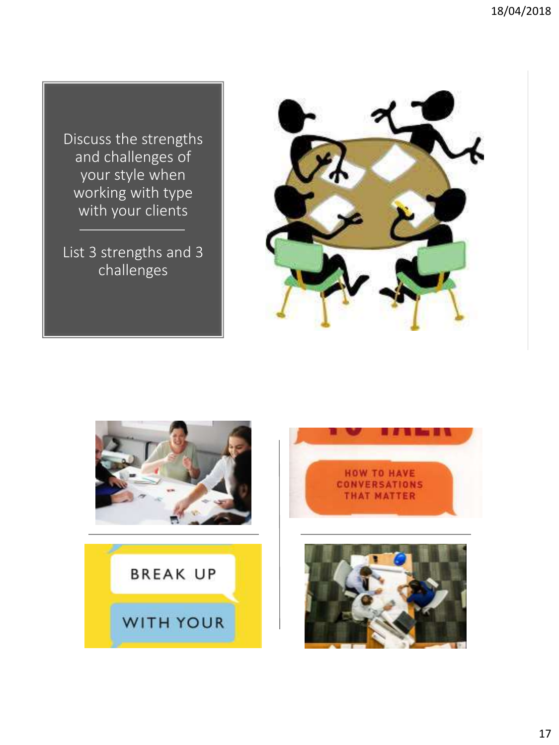Discuss the strengths and challenges of your style when working with type with your clients

List 3 strengths and 3 challenges





**BREAK UP** WITH YOUR



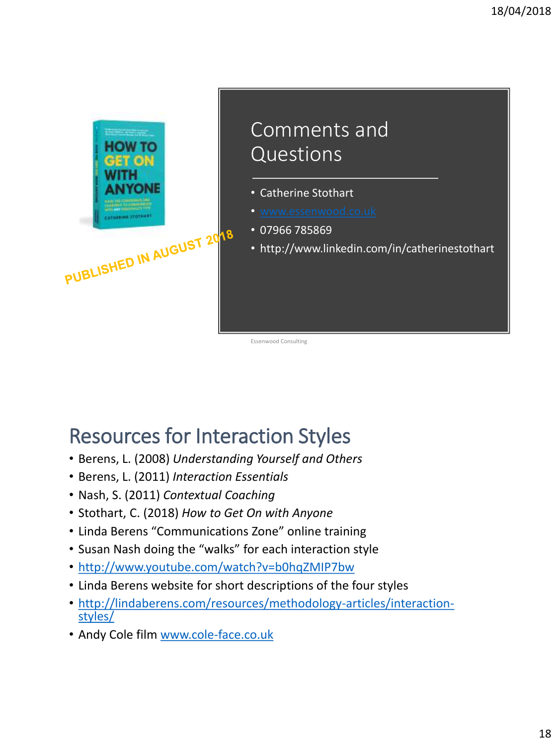

## Comments and Questions

- Catherine Stothart
- 
- 07966 785869

Essenwood Consulting

• http://www.linkedin.com/in/catherinestothart

# Resources for Interaction Styles

- Berens, L. (2008) *Understanding Yourself and Others*
- Berens, L. (2011) *Interaction Essentials*
- Nash, S. (2011) *Contextual Coaching*
- Stothart, C. (2018) *How to Get On with Anyone*
- Linda Berens "Communications Zone" online training
- Susan Nash doing the "walks" for each interaction style
- <http://www.youtube.com/watch?v=b0hqZMIP7bw>
- Linda Berens website for short descriptions of the four styles
- [http://lindaberens.com/resources/methodology-articles/interaction](http://lindaberens.com/resources/methodology-articles/interaction-styles/)[styles/](http://lindaberens.com/resources/methodology-articles/interaction-styles/)
- Andy Cole film [www.cole-face.co.uk](http://www.cole-face.co.uk/)